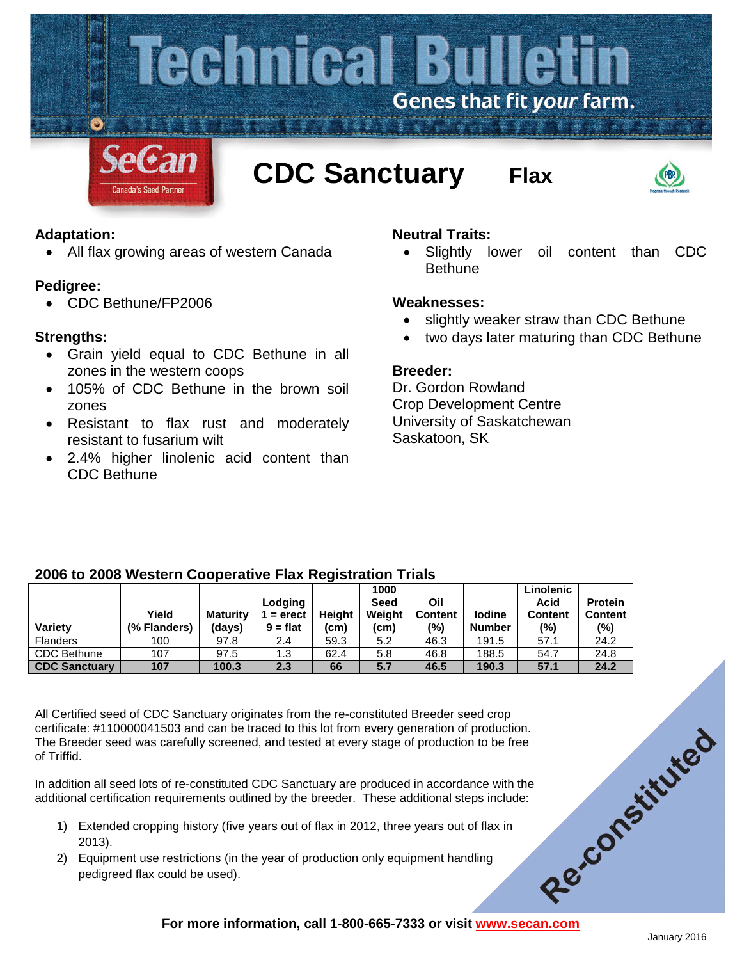

# **Adaptation:**

• All flax growing areas of western Canada

### **Pedigree:**

• CDC Bethune/FP2006

# **Strengths:**

- Grain yield equal to CDC Bethune in all zones in the western coops
- 105% of CDC Bethune in the brown soil zones
- Resistant to flax rust and moderately resistant to fusarium wilt
- 2.4% higher linolenic acid content than CDC Bethune

# **Neutral Traits:**

• Slightly lower oil content than CDC **Bethune** 

### **Weaknesses:**

- slightly weaker straw than CDC Bethune
- two days later maturing than CDC Bethune

### **Breeder:**

Dr. Gordon Rowland Crop Development Centre University of Saskatchewan Saskatoon, SK

### **2006 to 2008 Western Cooperative Flax Registration Trials**

|                      |              |          |            |        | 1000   |                |               | Linolenic      |                |
|----------------------|--------------|----------|------------|--------|--------|----------------|---------------|----------------|----------------|
|                      |              |          | Lodging    |        | Seed   | Oil            |               | Acid           | <b>Protein</b> |
|                      | Yield        | Maturity | $=$ erect  | Heiaht | Weight | <b>Content</b> | lodine        | <b>Content</b> | <b>Content</b> |
| <b>Variety</b>       | (% Flanders) | (days)   | $9 = flat$ | (cm)   | (cm)   | (%)            | <b>Number</b> | (%)            | (%)            |
| <b>Flanders</b>      | 100          | 97.8     | 2.4        | 59.3   | 5.2    | 46.3           | 191.5         | 57.1           | 24.2           |
| <b>CDC Bethune</b>   | 107          | 97.5     | 1.3        | 62.4   | 5.8    | 46.8           | 188.5         | 54.7           | 24.8           |
| <b>CDC Sanctuary</b> | 107          | 100.3    | 2.3        | 66     | 5.7    | 46.5           | 190.3         | 57.1           | 24.2           |

For more information, call 1-800-665-7333 or visit www.secan.com All Certified seed of CDC Sanctuary originates from the re-constituted Breeder seed crop certificate: #110000041503 and can be traced to this lot from every generation of production. The Breeder seed was carefully screened, and tested at every stage of production to be free of Triffid.

In addition all seed lots of re-constituted CDC Sanctuary are produced in accordance with the additional certification requirements outlined by the breeder. These additional steps include:

- 1) Extended cropping history (five years out of flax in 2012, three years out of flax in 2013).
- 2) Equipment use restrictions (in the year of production only equipment handling pedigreed flax could be used).